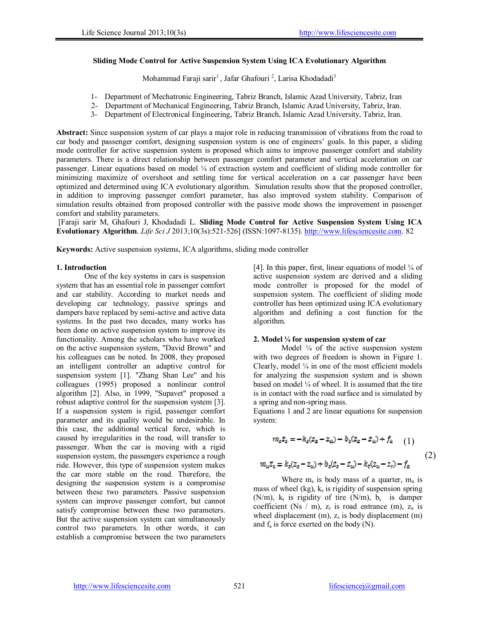### **Sliding Mode Control for Active Suspension System Using ICA Evolutionary Algorithm**

Mohammad Faraji sarir<sup>1</sup>, Jafar Ghafouri<sup>2</sup>, Larisa Khodadadi<sup>3</sup>

- 1- Department of Mechatronic Engineering, Tabriz Branch, Islamic Azad University, Tabriz, Iran
- 2- Department of Mechanical Engineering, Tabriz Branch, Islamic Azad University, Tabriz, Iran.
- 3- Department of Electronical Engineering, Tabriz Branch, Islamic Azad University, Tabriz, Iran.

**Abstract:** Since suspension system of car plays a major role in reducing transmission of vibrations from the road to car body and passenger comfort, designing suspension system is one of engineers' goals. In this paper, a sliding mode controller for active suspension system is proposed which aims to improve passenger comfort and stability parameters. There is a direct relationship between passenger comfort parameter and vertical acceleration on car passenger. Linear equations based on model ¼ of extraction system and coefficient of sliding mode controller for minimizing maximize of overshoot and settling time for vertical acceleration on a car passenger have been optimized and determined using ICA evolutionary algorithm. Simulation results show that the proposed controller, in addition to improving passenger comfort parameter, has also improved system stability. Comparison of simulation results obtained from proposed controller with the passive mode shows the improvement in passenger comfort and stability parameters.

[Faraji sarir M, Ghafouri J, Khodadadi L. **Sliding Mode Control for Active Suspension System Using ICA Evolutionary Algorithm**. *Life Sci J* 2013;10(3s):521-526] (ISSN:1097-8135). http://www.lifesciencesite.com. 82

**Keywords:** Active suspension systems, ICA algorithms, sliding mode controller

### **1. Introduction**

One of the key systems in cars is suspension system that has an essential role in passenger comfort and car stability. According to market needs and developing car technology, passive springs and dampers have replaced by semi-active and active data systems. In the past two decades, many works has been done on active suspension system to improve its functionality. Among the scholars who have worked on the active suspension system, "David Brown" and his colleagues can be noted. In 2008, they proposed an intelligent controller an adaptive control for suspension system [1]. "Zhang Shan Lee" and his colleagues (1995) proposed a nonlinear control algorithm [2]. Also, in 1999, "Supavet" proposed a robust adaptive control for the suspension system [3]. If a suspension system is rigid, passenger comfort parameter and its quality would be undesirable. In this case, the additional vertical force, which is caused by irregularities in the road, will transfer to passenger. When the car is moving with a rigid suspension system, the passengers experience a rough ride. However, this type of suspension system makes the car more stable on the road. Therefore, the designing the suspension system is a compromise between these two parameters. Passive suspension system can improve passenger comfort, but cannot satisfy compromise between these two parameters. But the active suspension system can simultaneously control two parameters. In other words, it can establish a compromise between the two parameters

[4]. In this paper, first, linear equations of model  $\frac{1}{4}$  of active suspension system are derived and a sliding mode controller is proposed for the model of suspension system. The coefficient of sliding mode controller has been optimized using ICA evolutionary algorithm and defining a cost function for the algorithm.

### **2. Model ¼ for suspension system of car**

Model  $\frac{1}{4}$  of the active suspension system with two degrees of freedom is shown in Figure 1. Clearly, model  $\frac{1}{4}$  in one of the most efficient models for analyzing the suspension system and is shown based on model  $\frac{1}{4}$  of wheel. It is assumed that the tire is in contact with the road surface and is simulated by a spring and non-spring mass.

Equations 1 and 2 are linear equations for suspension system:

$$
m_{z}\ddot{z}_{s} = -k_{z}(z_{s} - z_{u}) - b_{z}(z_{s} - \dot{z}_{u}) + f_{a}
$$
 (1)  

$$
m_{u}\ddot{z}_{u} = k_{z}(z_{s} - z_{u}) + b_{z}(\dot{z}_{s} - \dot{z}_{u}) - k_{t}(z_{u} - z_{r}) - f_{a}
$$
 (2)

Where  $m_s$  is body mass of a quarter,  $m_u$  is mass of wheel (kg),  $k_s$  is rigidity of suspension spring (N/m),  $k_t$  is rigidity of tire (N/m),  $b_s$  is damper coefficient (Ns / m),  $z_r$  is road entrance (m),  $z_u$  is wheel displacement  $(m)$ ,  $z<sub>s</sub>$  is body displacement  $(m)$ and  $f_a$  is force exerted on the body (N).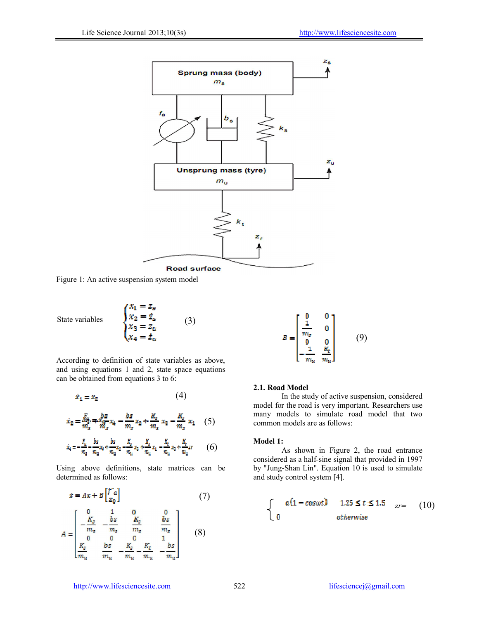

Figure 1: An active suspension system model

State variables 
$$
\begin{cases}\nx_1 = z_g \\
x_2 = \dot{z}_s \\
x_3 = z_u \\
x_4 = \dot{z}_u\n\end{cases}
$$
\n(3)

According to definition of state variables as above, and using equations 1 and 2, state space equations can be obtained from equations 3 to 6:

$$
\dot{x}_1 = x_2 \tag{4}
$$

$$
\dot{x}_2 = \frac{F_2}{m_s} = \frac{bs}{m_s} x_4 - \frac{bs}{m_s} x_2 + \frac{K_s}{m_s} x_3 - \frac{K_s}{m_s} x_1 \quad (5)
$$

$$
\dot{x}_4 = -\frac{F_a}{m_a} - \frac{bs}{m_a} x_4 + \frac{bs}{m_a} x_2 - \frac{K_s}{m_a} x_2 + \frac{K_s}{m_a} x_1 - \frac{K_t}{m_a} x_2 + \frac{K_t}{m_a} z_3 \tag{6}
$$

Using above definitions, state matrices can be determined as follows:

$$
\dot{x} = Ax + B \begin{bmatrix} \ddot{f}^T a \\ z_0 \end{bmatrix}
$$
(7)  

$$
A = \begin{bmatrix} 0 & 1 & 0 & 0 \\ -\frac{K_g}{m_g} & -\frac{bs}{m_g} & \frac{K_g}{m_g} & \frac{bs}{m_g} \\ 0 & 0 & 0 & 1 \\ \frac{K_g}{m_u} & \frac{bs}{m_u} - \frac{K_g}{m_u} - \frac{K_t}{m_u} & -\frac{bs}{m_u} \end{bmatrix}
$$
(8)

$$
B = \begin{bmatrix} 0 & 0 \\ \frac{1}{m_g} & 0 \\ 0 & 0 \\ -\frac{1}{m_u} & \frac{K_t}{m_u} \end{bmatrix}
$$
 (9)

### **2.1. Road Model**

In the study of active suspension, considered model for the road is very important. Researchers use many models to simulate road model that two common models are as follows:

### **Model 1:**

As shown in Figure 2, the road entrance considered as a half-sine signal that provided in 1997 by "Jung-Shan Lin". Equation 10 is used to simulate and study control system [4].

$$
\begin{cases}\n a(1 - \cos \omega t) & 1.25 \le t \le 1.5 & \text{at } z = 0 \\
 0 & \text{otherwise}\n\end{cases}
$$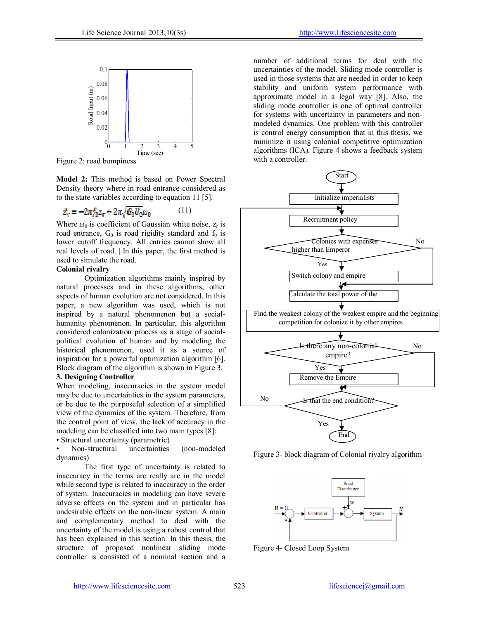

Figure 2: road bumpiness

**Model 2:** This method is based on Power Spectral Density theory where in road entrance considered as to the state variables according to equation 11 [5].

$$
\dot{z}_r = -2\pi f_0 z_r + 2\pi \sqrt{G_0 U_0} \omega_0 \tag{11}
$$

Where  $\omega_0$  is coefficient of Gaussian white noise,  $z_r$  is road entrance,  $G_0$  is road rigidity standard and  $f_0$  is lower cutoff frequency. All entries cannot show all real levels of road. | In this paper, the first method is used to simulate the road.

## **Colonial rivalry**

Optimization algorithms mainly inspired by natural processes and in these algorithms, other aspects of human evolution are not considered. In this paper, a new algorithm was used, which is not inspired by a natural phenomenon but a socialhumanity phenomenon. In particular, this algorithm considered colonization process as a stage of socialpolitical evolution of human and by modeling the historical phenomenon, used it as a source of inspiration for a powerful optimization algorithm [6]. Block diagram of the algorithm is shown in Figure 3.

### **3. Designing Controller**

When modeling, inaccuracies in the system model may be due to uncertainties in the system parameters, or be due to the purposeful selection of a simplified view of the dynamics of the system. Therefore, from the control point of view, the lack of accuracy in the modeling can be classified into two main types [8]:

• Structural uncertainty (parametric)

• Non-structural uncertainties (non-modeled dynamics)

The first type of uncertainty is related to inaccuracy in the terms are really are in the model while second type is related to inaccuracy in the order of system. Inaccuracies in modeling can have severe adverse effects on the system and in particular has undesirable effects on the non-linear system. A main and complementary method to deal with the uncertainty of the model is using a robust control that has been explained in this section. In this thesis, the structure of proposed nonlinear sliding mode controller is consisted of a nominal section and a

number of additional terms for deal with the uncertainties of the model. Sliding mode controller is used in those systems that are needed in order to keep stability and uniform system performance with approximate model in a legal way [8]. Also, the sliding mode controller is one of optimal controller for systems with uncertainty in parameters and nonmodeled dynamics. One problem with this controller is control energy consumption that in this thesis, we minimize it using colonial competitive optimization algorithms (ICA). Figure 4 shows a feedback system with a controller.



Figure 3- block diagram of Colonial rivalry algorithm



Figure 4- Closed Loop System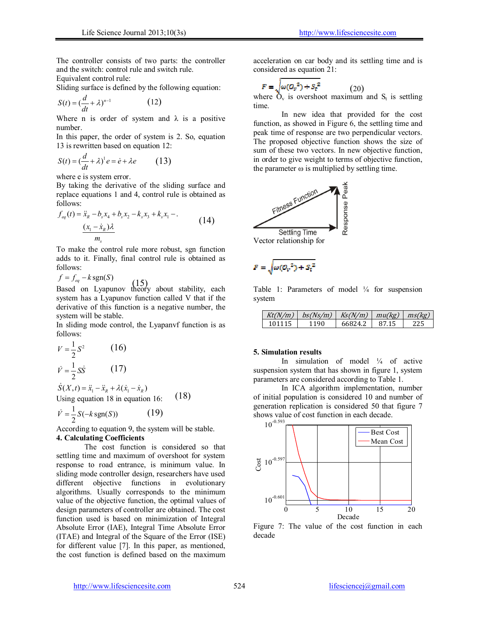The controller consists of two parts: the controller and the switch: control rule and switch rule.

Equivalent control rule:

Sliding surface is defined by the following equation:

$$
S(t) = \left(\frac{d}{dt} + \lambda\right)^{n-1} \tag{12}
$$

Where n is order of system and  $\lambda$  is a positive number.

In this paper, the order of system is 2. So, equation 13 is rewritten based on equation 12:

$$
S(t) = \left(\frac{d}{dt} + \lambda\right)^1 e = \dot{e} + \lambda e \tag{13}
$$

where e is system error.

By taking the derivative of the sliding surface and replace equations 1 and 4, control rule is obtained as follows:

$$
f_{eq}(t) = \ddot{x}_R - b_s x_4 + b_s x_2 - k_s x_3 + k_s x_1 - .
$$
  

$$
\frac{(x_1 - \dot{x}_R)\lambda}{m_s}
$$
 (14)

To make the control rule more robust, sgn function adds to it. Finally, final control rule is obtained as follows:

 $f = f_{ea} - k \text{sgn}(S)$ 

Based on Lyapunov theory about stability, each system has a Lyapunov function called V that if the derivative of this function is a negative number, the system will be stable.

In sliding mode control, the Lyapanvf function is as follows:

$$
V = \frac{1}{2}S^2
$$
 (16)  

$$
\dot{V} = \frac{1}{2}S\dot{S}
$$
 (17)

 $\dot{S}(X, t) = \ddot{x}_1 - \ddot{x}_2 + \lambda(\dot{x}_1 - \dot{x}_2)$ Using equation 18 in equation 16: (18)

$$
\dot{V} = \frac{1}{2}S(-k \operatorname{sgn}(S))\tag{19}
$$

According to equation 9, the system will be stable. **4. Calculating Coefficients**

The cost function is considered so that settling time and maximum of overshoot for system response to road entrance, is minimum value. In sliding mode controller design, researchers have used different objective functions in evolutionary algorithms. Usually corresponds to the minimum value of the objective function, the optimal values of design parameters of controller are obtained. The cost function used is based on minimization of Integral Absolute Error (IAE), Integral Time Absolute Error (ITAE) and Integral of the Square of the Error (ISE) for different value [7]. In this paper, as mentioned, the cost function is defined based on the maximum

acceleration on car body and its settling time and is considered as equation 21:

$$
F = \sqrt{\omega(Q_v^2) + S_t^2} \tag{20}
$$

where  $O_v$  is overshoot maximum and  $S_t$  is settling time.

In new idea that provided for the cost function, as showed in Figure 6, the settling time and peak time of response are two perpendicular vectors. The proposed objective function shows the size of sum of these two vectors. In new objective function, in order to give weight to terms of objective function, the parameter  $\omega$  is multiplied by settling time.



$$
F=\sqrt{\omega(\mathcal{O}_v^2)+{S_\mathrm{t}}^2}
$$

Table 1: Parameters of model  $\frac{1}{4}$  for suspension system

| Kt(N/m) |      | $bs(Ns/m)$ $Ks(N/m)$ $mu(kg)$ $ms(kg)$ |       |  |
|---------|------|----------------------------------------|-------|--|
| 101115  | 1190 | 66824.2                                | 87.15 |  |

#### **5. Simulation results**

In simulation of model  $\frac{1}{4}$  of active suspension system that has shown in figure 1, system parameters are considered according to Table 1.

In ICA algorithm implementation, number of initial population is considered 10 and number of generation replication is considered 50 that figure 7 shows value of cost function in each decade.



Figure 7: The value of the cost function in each decade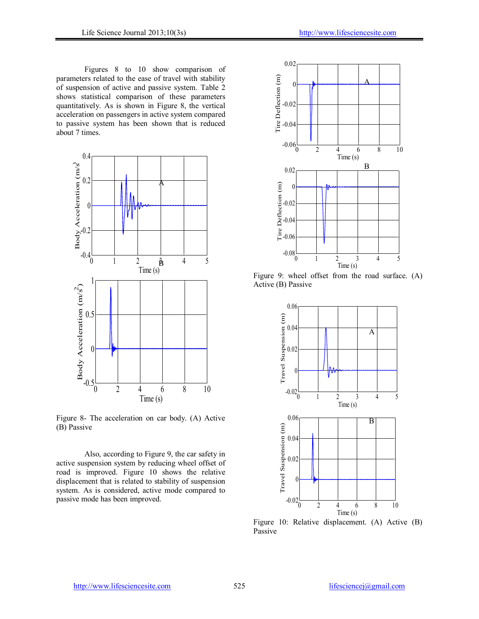Figures 8 to 10 show comparison of parameters related to the ease of travel with stability of suspension of active and passive system. Table 2 shows statistical comparison of these parameters quantitatively. As is shown in Figure 8, the vertical acceleration on passengers in active system compared to passive system has been shown that is reduced about 7 times.



Figure 8- The acceleration on car body. (A) Active (B) Passive

Also, according to Figure 9, the car safety in active suspension system by reducing wheel offset of road is improved. Figure 10 shows the relative displacement that is related to stability of suspension system. As is considered, active mode compared to passive mode has been improved.



Figure 9: wheel offset from the road surface. (A) Active (B) Passive



Figure 10: Relative displacement. (A) Active (B) Passive